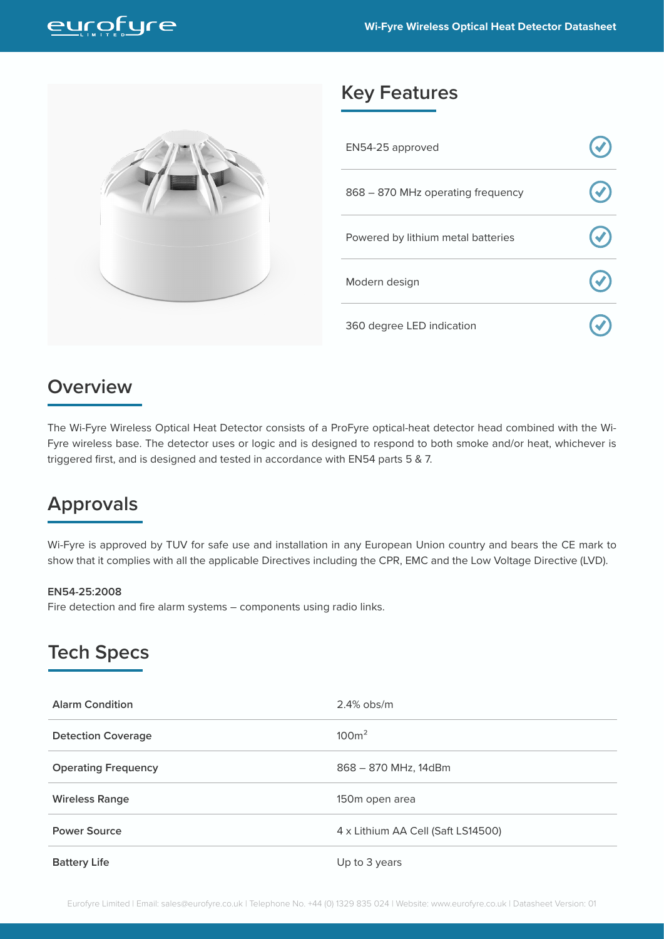

## **Key Features**

| EN54-25 approved                   |  |
|------------------------------------|--|
| 868 - 870 MHz operating frequency  |  |
| Powered by lithium metal batteries |  |
| Modern design                      |  |
| 360 degree LED indication          |  |

### **Overview**

The Wi-Fyre Wireless Optical Heat Detector consists of a ProFyre optical-heat detector head combined with the Wi-Fyre wireless base. The detector uses or logic and is designed to respond to both smoke and/or heat, whichever is triggered first, and is designed and tested in accordance with EN54 parts 5 & 7.

# **Approvals**

Wi-Fyre is approved by TUV for safe use and installation in any European Union country and bears the CE mark to show that it complies with all the applicable Directives including the CPR, EMC and the Low Voltage Directive (LVD).

#### **EN54-25:2008**

Fire detection and fire alarm systems – components using radio links.

### **Tech Specs**

| <b>Alarm Condition</b>     | $2.4\%$ obs/m                      |
|----------------------------|------------------------------------|
| <b>Detection Coverage</b>  | 100 <sup>m²</sup>                  |
| <b>Operating Frequency</b> | 868 - 870 MHz, 14dBm               |
| <b>Wireless Range</b>      | 150m open area                     |
| <b>Power Source</b>        | 4 x Lithium AA Cell (Saft LS14500) |
| <b>Battery Life</b>        | Up to 3 years                      |